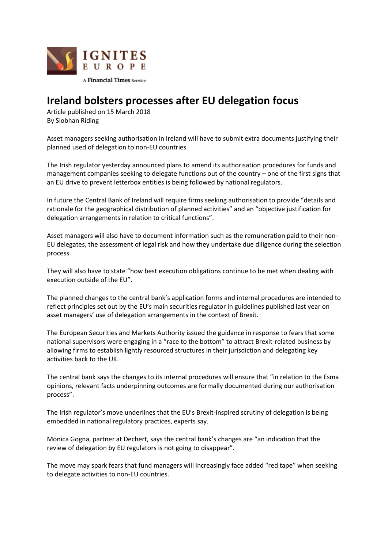

## **Ireland bolsters processes after EU delegation focus**

Article published on 15 March 2018 By Siobhan Riding

Asset managers seeking authorisation in Ireland will have to submit extra documents justifying their planned used of delegation to non-EU countries.

The Irish regulator yesterday announced plans to amend its authorisation procedures for funds and management companies seeking to delegate functions out of the country – one of the first signs that an EU drive to prevent letterbox entities is being followed by national regulators.

In future the Central Bank of Ireland will require firms seeking authorisation to provide "details and rationale for the geographical distribution of planned activities" and an "objective justification for delegation arrangements in relation to critical functions".

Asset managers will also have to document information such as the remuneration paid to their non-EU delegates, the assessment of legal risk and how they undertake due diligence during the selection process.

They will also have to state "how best execution obligations continue to be met when dealing with execution outside of the EU".

The planned changes to the central bank's application forms and internal procedures are intended to reflect principles set out by the EU's main securities regulator in guidelines published last year on asset managers' use of delegation arrangements in the context of Brexit.

The European Securities and Markets Authority issued the guidance in response to fears that some national supervisors were engaging in a "race to the bottom" to attract Brexit-related business by allowing firms to establish lightly resourced structures in their jurisdiction and delegating key activities back to the UK.

The central bank says the changes to its internal procedures will ensure that "in relation to the Esma opinions, relevant facts underpinning outcomes are formally documented during our authorisation process".

The Irish regulator's move underlines that the EU's Brexit-inspired scrutiny of delegation is being embedded in national regulatory practices, experts say.

Monica Gogna, partner at Dechert, says the central bank's changes are "an indication that the review of delegation by EU regulators is not going to disappear".

The move may spark fears that fund managers will increasingly face added "red tape" when seeking to delegate activities to non-EU countries.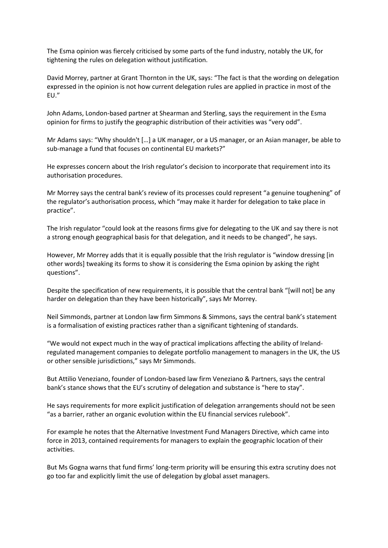The Esma opinion was fiercely criticised by some parts of the fund industry, notably the UK, for tightening the rules on delegation without justification.

David Morrey, partner at Grant Thornton in the UK, says: "The fact is that the wording on delegation expressed in the opinion is not how current delegation rules are applied in practice in most of the EU."

John Adams, London-based partner at Shearman and Sterling, says the requirement in the Esma opinion for firms to justify the geographic distribution of their activities was "very odd".

Mr Adams says: "Why shouldn't […] a UK manager, or a US manager, or an Asian manager, be able to sub-manage a fund that focuses on continental EU markets?"

He expresses concern about the Irish regulator's decision to incorporate that requirement into its authorisation procedures.

Mr Morrey says the central bank's review of its processes could represent "a genuine toughening" of the regulator's authorisation process, which "may make it harder for delegation to take place in practice".

The Irish regulator "could look at the reasons firms give for delegating to the UK and say there is not a strong enough geographical basis for that delegation, and it needs to be changed", he says.

However, Mr Morrey adds that it is equally possible that the Irish regulator is "window dressing [in other words] tweaking its forms to show it is considering the Esma opinion by asking the right questions".

Despite the specification of new requirements, it is possible that the central bank "[will not] be any harder on delegation than they have been historically", says Mr Morrey.

Neil Simmonds, partner at London law firm Simmons & Simmons, says the central bank's statement is a formalisation of existing practices rather than a significant tightening of standards.

"We would not expect much in the way of practical implications affecting the ability of Irelandregulated management companies to delegate portfolio management to managers in the UK, the US or other sensible jurisdictions," says Mr Simmonds.

But Attilio Veneziano, founder of London-based law firm Veneziano & Partners, says the central bank's stance shows that the EU's scrutiny of delegation and substance is "here to stay".

He says requirements for more explicit justification of delegation arrangements should not be seen "as a barrier, rather an organic evolution within the EU financial services rulebook".

For example he notes that the Alternative Investment Fund Managers Directive, which came into force in 2013, contained requirements for managers to explain the geographic location of their activities.

But Ms Gogna warns that fund firms' long-term priority will be ensuring this extra scrutiny does not go too far and explicitly limit the use of delegation by global asset managers.